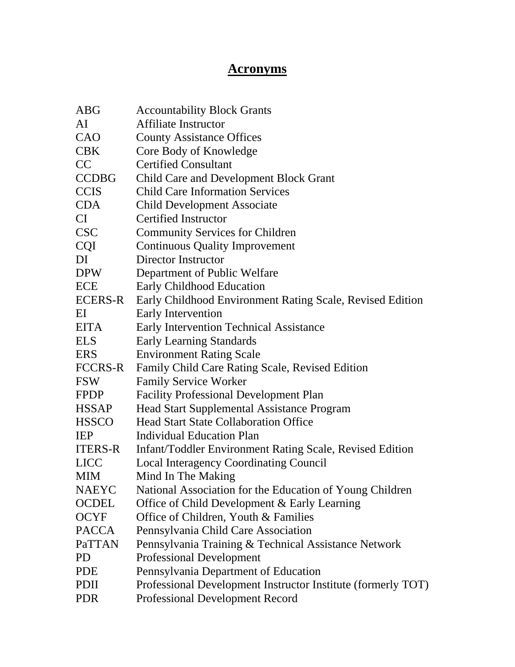## **Acronyms**

| <b>ABG</b>     | <b>Accountability Block Grants</b>                           |
|----------------|--------------------------------------------------------------|
| AI             | Affiliate Instructor                                         |
| CAO            | <b>County Assistance Offices</b>                             |
| <b>CBK</b>     | Core Body of Knowledge                                       |
| CC             | <b>Certified Consultant</b>                                  |
| <b>CCDBG</b>   | <b>Child Care and Development Block Grant</b>                |
| <b>CCIS</b>    | <b>Child Care Information Services</b>                       |
| <b>CDA</b>     | <b>Child Development Associate</b>                           |
| CI.            | <b>Certified Instructor</b>                                  |
| <b>CSC</b>     | <b>Community Services for Children</b>                       |
| <b>CQI</b>     | <b>Continuous Quality Improvement</b>                        |
| DI             | Director Instructor                                          |
| <b>DPW</b>     | Department of Public Welfare                                 |
| <b>ECE</b>     | Early Childhood Education                                    |
| <b>ECERS-R</b> | Early Childhood Environment Rating Scale, Revised Edition    |
| ΕI             | Early Intervention                                           |
| <b>EITA</b>    | Early Intervention Technical Assistance                      |
| <b>ELS</b>     | <b>Early Learning Standards</b>                              |
| <b>ERS</b>     | <b>Environment Rating Scale</b>                              |
| FCCRS-R        | Family Child Care Rating Scale, Revised Edition              |
| <b>FSW</b>     | <b>Family Service Worker</b>                                 |
| <b>FPDP</b>    | <b>Facility Professional Development Plan</b>                |
| <b>HSSAP</b>   | Head Start Supplemental Assistance Program                   |
| <b>HSSCO</b>   | <b>Head Start State Collaboration Office</b>                 |
| <b>IEP</b>     | <b>Individual Education Plan</b>                             |
| <b>ITERS-R</b> | Infant/Toddler Environment Rating Scale, Revised Edition     |
| <b>LICC</b>    | <b>Local Interagency Coordinating Council</b>                |
| <b>MIM</b>     | Mind In The Making                                           |
| <b>NAEYC</b>   | National Association for the Education of Young Children     |
| <b>OCDEL</b>   | Office of Child Development & Early Learning                 |
| <b>OCYF</b>    | Office of Children, Youth & Families                         |
| <b>PACCA</b>   | Pennsylvania Child Care Association                          |
| <b>PaTTAN</b>  | Pennsylvania Training & Technical Assistance Network         |
| <b>PD</b>      | <b>Professional Development</b>                              |
| <b>PDE</b>     | Pennsylvania Department of Education                         |
| <b>PDII</b>    | Professional Development Instructor Institute (formerly TOT) |
| <b>PDR</b>     | <b>Professional Development Record</b>                       |